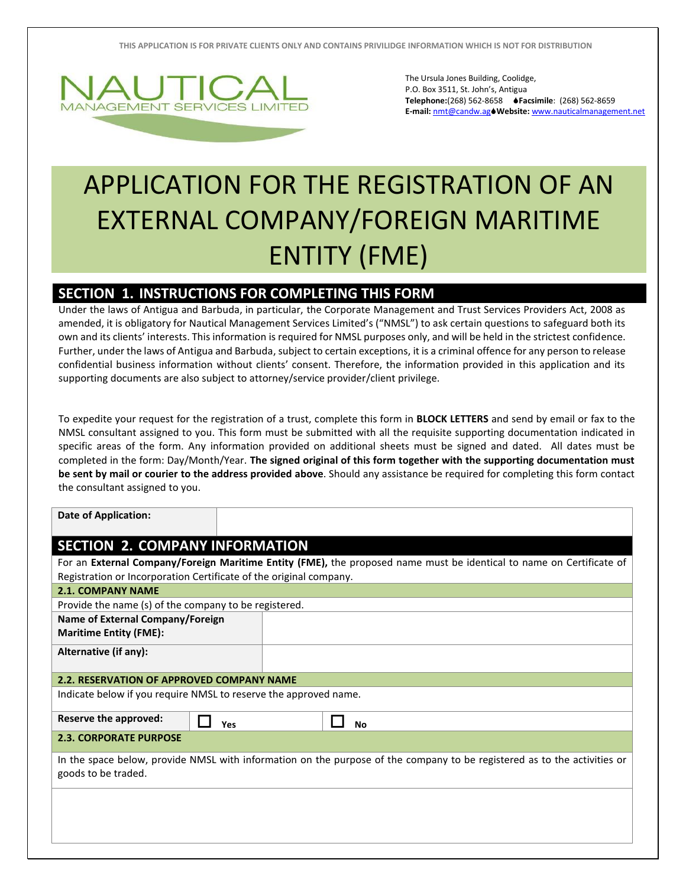

The Ursula Jones Building, Coolidge, P.O. Box 3511, St. John's, Antigua **Telephone:**(268) 562-8658 **Facsimile**: (268) 562-8659 **E-mail:** [nmt@candw.ag](mailto:nmt@candw.ag)**Website:** www.nauticalmanagement.net

## APPLICATION FOR THE REGISTRATION OF AN EXTERNAL COMPANY/FOREIGN MARITIME ENTITY (FME)

## **SECTION 1. INSTRUCTIONS FOR COMPLETING THIS FORM**

Under the laws of Antigua and Barbuda, in particular, the Corporate Management and Trust Services Providers Act, 2008 as amended, it is obligatory for Nautical Management Services Limited's ("NMSL") to ask certain questions to safeguard both its own and its clients' interests. This information is required for NMSL purposes only, and will be held in the strictest confidence. Further, under the laws of Antigua and Barbuda, subject to certain exceptions, it is a criminal offence for any person to release confidential business information without clients' consent. Therefore, the information provided in this application and its supporting documents are also subject to attorney/service provider/client privilege.

To expedite your request for the registration of a trust, complete this form in **BLOCK LETTERS** and send by email or fax to the NMSL consultant assigned to you. This form must be submitted with all the requisite supporting documentation indicated in specific areas of the form. Any information provided on additional sheets must be signed and dated. All dates must be completed in the form: Day/Month/Year. **The signed original of this form together with the supporting documentation must be sent by mail or courier to the address provided above**. Should any assistance be required for completing this form contact the consultant assigned to you.

| <b>Date of Application:</b>                                        |                                                                                                                          |  |  |  |  |  |
|--------------------------------------------------------------------|--------------------------------------------------------------------------------------------------------------------------|--|--|--|--|--|
| <b>SECTION 2. COMPANY INFORMATION</b>                              |                                                                                                                          |  |  |  |  |  |
| Registration or Incorporation Certificate of the original company. | For an External Company/Foreign Maritime Entity (FME), the proposed name must be identical to name on Certificate of     |  |  |  |  |  |
| <b>2.1. COMPANY NAME</b>                                           |                                                                                                                          |  |  |  |  |  |
| Provide the name (s) of the company to be registered.              |                                                                                                                          |  |  |  |  |  |
| Name of External Company/Foreign<br><b>Maritime Entity (FME):</b>  |                                                                                                                          |  |  |  |  |  |
| Alternative (if any):                                              |                                                                                                                          |  |  |  |  |  |
| <b>2.2. RESERVATION OF APPROVED COMPANY NAME</b>                   |                                                                                                                          |  |  |  |  |  |
| Indicate below if you require NMSL to reserve the approved name.   |                                                                                                                          |  |  |  |  |  |
| Reserve the approved:<br>Yes                                       | <b>No</b>                                                                                                                |  |  |  |  |  |
| <b>2.3. CORPORATE PURPOSE</b>                                      |                                                                                                                          |  |  |  |  |  |
| goods to be traded.                                                | In the space below, provide NMSL with information on the purpose of the company to be registered as to the activities or |  |  |  |  |  |
|                                                                    |                                                                                                                          |  |  |  |  |  |
|                                                                    |                                                                                                                          |  |  |  |  |  |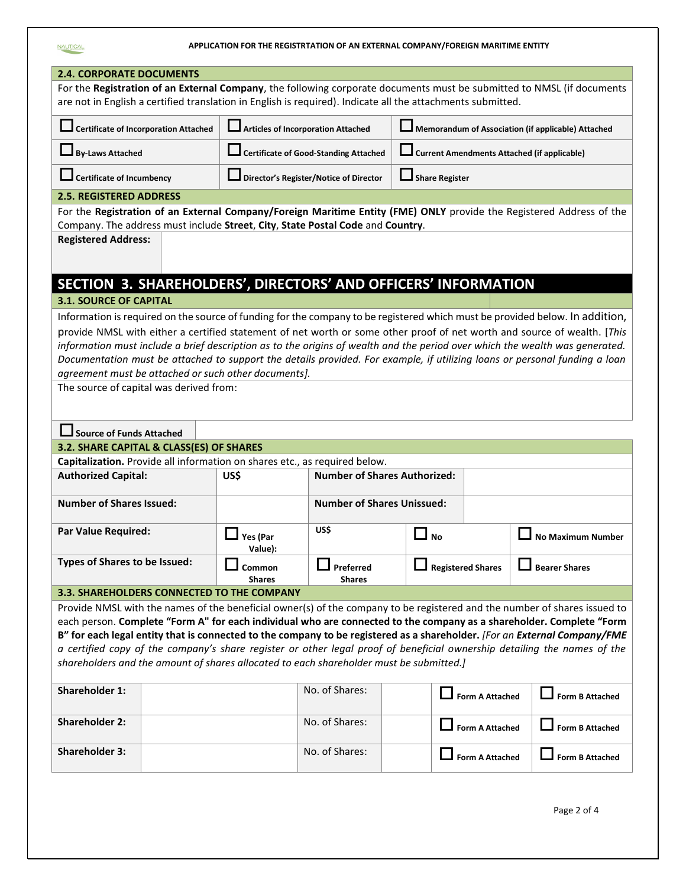|                                                                                                                           |                                              |                                                                            |                                                                                                             | APPLICATION FOR THE REGISTRTATION OF AN EXTERNAL COMPANY/FOREIGN MARITIME ENTITY |                          |                                                                                                                                                                                                                                                                                                                                                                                                                                                                                                                        |
|---------------------------------------------------------------------------------------------------------------------------|----------------------------------------------|----------------------------------------------------------------------------|-------------------------------------------------------------------------------------------------------------|----------------------------------------------------------------------------------|--------------------------|------------------------------------------------------------------------------------------------------------------------------------------------------------------------------------------------------------------------------------------------------------------------------------------------------------------------------------------------------------------------------------------------------------------------------------------------------------------------------------------------------------------------|
| <b>2.4. CORPORATE DOCUMENTS</b>                                                                                           |                                              |                                                                            |                                                                                                             |                                                                                  |                          |                                                                                                                                                                                                                                                                                                                                                                                                                                                                                                                        |
|                                                                                                                           |                                              |                                                                            | are not in English a certified translation in English is required). Indicate all the attachments submitted. |                                                                                  |                          | For the Registration of an External Company, the following corporate documents must be submitted to NMSL (if documents                                                                                                                                                                                                                                                                                                                                                                                                 |
|                                                                                                                           | <b>Certificate of Incorporation Attached</b> |                                                                            | <b>Articles of Incorporation Attached</b>                                                                   |                                                                                  |                          | Memorandum of Association (if applicable) Attached                                                                                                                                                                                                                                                                                                                                                                                                                                                                     |
| <b>By-Laws Attached</b>                                                                                                   |                                              |                                                                            | <b>Certificate of Good-Standing Attached</b>                                                                |                                                                                  |                          | <b>Current Amendments Attached (if applicable)</b>                                                                                                                                                                                                                                                                                                                                                                                                                                                                     |
| <b>Certificate of Incumbency</b>                                                                                          |                                              |                                                                            | Director's Register/Notice of Director                                                                      | <b>Share Register</b>                                                            |                          |                                                                                                                                                                                                                                                                                                                                                                                                                                                                                                                        |
| <b>2.5. REGISTERED ADDRESS</b>                                                                                            |                                              |                                                                            |                                                                                                             |                                                                                  |                          |                                                                                                                                                                                                                                                                                                                                                                                                                                                                                                                        |
| <b>Registered Address:</b>                                                                                                |                                              |                                                                            | Company. The address must include Street, City, State Postal Code and Country.                              |                                                                                  |                          | For the Registration of an External Company/Foreign Maritime Entity (FME) ONLY provide the Registered Address of the                                                                                                                                                                                                                                                                                                                                                                                                   |
|                                                                                                                           |                                              |                                                                            |                                                                                                             |                                                                                  |                          |                                                                                                                                                                                                                                                                                                                                                                                                                                                                                                                        |
|                                                                                                                           |                                              |                                                                            | SECTION 3. SHAREHOLDERS', DIRECTORS' AND OFFICERS' INFORMATION                                              |                                                                                  |                          |                                                                                                                                                                                                                                                                                                                                                                                                                                                                                                                        |
| <b>3.1. SOURCE OF CAPITAL</b>                                                                                             |                                              |                                                                            |                                                                                                             |                                                                                  |                          |                                                                                                                                                                                                                                                                                                                                                                                                                                                                                                                        |
|                                                                                                                           |                                              | agreement must be attached or such other documents].                       |                                                                                                             |                                                                                  |                          | Information is required on the source of funding for the company to be registered which must be provided below. In addition,<br>provide NMSL with either a certified statement of net worth or some other proof of net worth and source of wealth. [This<br>information must include a brief description as to the origins of wealth and the period over which the wealth was generated.<br>Documentation must be attached to support the details provided. For example, if utilizing loans or personal funding a loan |
| The source of capital was derived from:<br><b>Source of Funds Attached</b>                                                |                                              |                                                                            |                                                                                                             |                                                                                  |                          |                                                                                                                                                                                                                                                                                                                                                                                                                                                                                                                        |
| 3.2. SHARE CAPITAL & CLASS(ES) OF SHARES                                                                                  |                                              |                                                                            |                                                                                                             |                                                                                  |                          |                                                                                                                                                                                                                                                                                                                                                                                                                                                                                                                        |
|                                                                                                                           |                                              | Capitalization. Provide all information on shares etc., as required below. |                                                                                                             |                                                                                  |                          |                                                                                                                                                                                                                                                                                                                                                                                                                                                                                                                        |
| <b>Authorized Capital:</b>                                                                                                |                                              | US\$                                                                       | <b>Number of Shares Authorized:</b>                                                                         |                                                                                  |                          |                                                                                                                                                                                                                                                                                                                                                                                                                                                                                                                        |
|                                                                                                                           | <b>Number of Shares Issued:</b>              |                                                                            | <b>Number of Shares Unissued:</b>                                                                           |                                                                                  |                          |                                                                                                                                                                                                                                                                                                                                                                                                                                                                                                                        |
| <b>Par Value Required:</b>                                                                                                |                                              | Yes (Par<br>Value):                                                        | US\$                                                                                                        | No                                                                               |                          | <b>No Maximum Number</b>                                                                                                                                                                                                                                                                                                                                                                                                                                                                                               |
| Types of Shares to be Issued:                                                                                             |                                              | Common<br><b>Shares</b>                                                    | Preferred<br><b>Shares</b>                                                                                  |                                                                                  | <b>Registered Shares</b> | <b>Bearer Shares</b>                                                                                                                                                                                                                                                                                                                                                                                                                                                                                                   |
| 3.3. SHAREHOLDERS CONNECTED TO THE COMPANY                                                                                |                                              |                                                                            |                                                                                                             |                                                                                  |                          |                                                                                                                                                                                                                                                                                                                                                                                                                                                                                                                        |
|                                                                                                                           |                                              |                                                                            |                                                                                                             |                                                                                  |                          | Provide NMSL with the names of the beneficial owner(s) of the company to be registered and the number of shares issued to<br>each person. Complete "Form A" for each individual who are connected to the company as a shareholder. Complete "Form                                                                                                                                                                                                                                                                      |
| B" for each legal entity that is connected to the company to be registered as a shareholder. [For an External Company/FME |                                              |                                                                            | shareholders and the amount of shares allocated to each shareholder must be submitted.]                     |                                                                                  |                          | a certified copy of the company's share register or other legal proof of beneficial ownership detailing the names of the                                                                                                                                                                                                                                                                                                                                                                                               |
| <b>Shareholder 1:</b>                                                                                                     |                                              |                                                                            | No. of Shares:                                                                                              |                                                                                  | <b>Form A Attached</b>   | <b>Form B Attached</b>                                                                                                                                                                                                                                                                                                                                                                                                                                                                                                 |
| <b>Shareholder 2:</b>                                                                                                     |                                              |                                                                            | No. of Shares:                                                                                              |                                                                                  | <b>Form A Attached</b>   | <b>Form B Attached</b>                                                                                                                                                                                                                                                                                                                                                                                                                                                                                                 |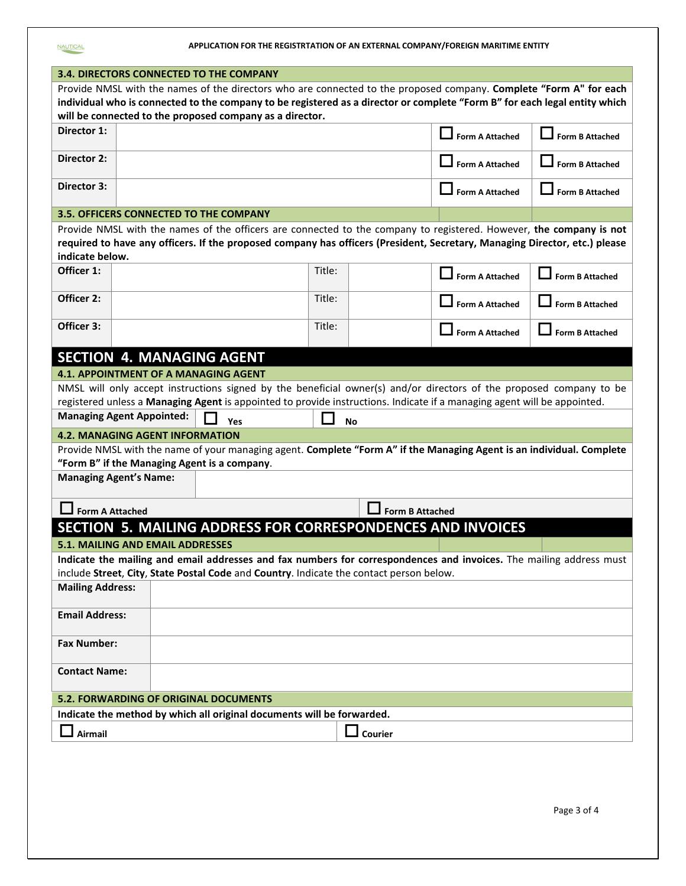| APPLICATION FOR THE REGISTRTATION OF AN EXTERNAL COMPANY/FOREIGN MARITIME ENTITY |  |
|----------------------------------------------------------------------------------|--|
|----------------------------------------------------------------------------------|--|

NAUTICAL

|                         | <b>3.4. DIRECTORS CONNECTED TO THE COMPANY</b>                                          |     |        |                        |                                                                                                                            |                        |
|-------------------------|-----------------------------------------------------------------------------------------|-----|--------|------------------------|----------------------------------------------------------------------------------------------------------------------------|------------------------|
|                         |                                                                                         |     |        |                        | Provide NMSL with the names of the directors who are connected to the proposed company. Complete "Form A" for each         |                        |
|                         |                                                                                         |     |        |                        | individual who is connected to the company to be registered as a director or complete "Form B" for each legal entity which |                        |
|                         |                                                                                         |     |        |                        |                                                                                                                            |                        |
| Director 1:             | will be connected to the proposed company as a director.                                |     |        |                        | <b>Form A Attached</b>                                                                                                     | <b>Form B Attached</b> |
| Director 2:             |                                                                                         |     |        |                        | <b>Form A Attached</b>                                                                                                     | <b>Form B Attached</b> |
| Director 3:             |                                                                                         |     |        |                        | <b>Form A Attached</b>                                                                                                     | <b>Form B Attached</b> |
|                         | 3.5. OFFICERS CONNECTED TO THE COMPANY                                                  |     |        |                        |                                                                                                                            |                        |
|                         |                                                                                         |     |        |                        | Provide NMSL with the names of the officers are connected to the company to registered. However, the company is not        |                        |
| indicate below.         |                                                                                         |     |        |                        | required to have any officers. If the proposed company has officers (President, Secretary, Managing Director, etc.) please |                        |
| Officer 1:              |                                                                                         |     | Title: |                        |                                                                                                                            |                        |
|                         |                                                                                         |     |        |                        | Form A Attached                                                                                                            | <b>Form B Attached</b> |
| Officer 2:              |                                                                                         |     | Title: |                        | <b>Form A Attached</b>                                                                                                     | <b>Form B Attached</b> |
| Officer 3:              |                                                                                         |     | Title: |                        | <b>Form A Attached</b>                                                                                                     | <b>Form B Attached</b> |
|                         | <b>SECTION 4. MANAGING AGENT</b>                                                        |     |        |                        |                                                                                                                            |                        |
|                         | 4.1. APPOINTMENT OF A MANAGING AGENT                                                    |     |        |                        |                                                                                                                            |                        |
|                         |                                                                                         |     |        |                        | NMSL will only accept instructions signed by the beneficial owner(s) and/or directors of the proposed company to be        |                        |
|                         |                                                                                         |     |        |                        | registered unless a Managing Agent is appointed to provide instructions. Indicate if a managing agent will be appointed.   |                        |
|                         | <b>Managing Agent Appointed:</b>                                                        | Yes |        | No                     |                                                                                                                            |                        |
|                         | 4.2. MANAGING AGENT INFORMATION                                                         |     |        |                        |                                                                                                                            |                        |
|                         |                                                                                         |     |        |                        | Provide NMSL with the name of your managing agent. Complete "Form A" if the Managing Agent is an individual. Complete      |                        |
|                         | "Form B" if the Managing Agent is a company.                                            |     |        |                        |                                                                                                                            |                        |
|                         | <b>Managing Agent's Name:</b>                                                           |     |        |                        |                                                                                                                            |                        |
| <b>Form A Attached</b>  |                                                                                         |     |        | <b>Form B Attached</b> |                                                                                                                            |                        |
|                         |                                                                                         |     |        |                        | SECTION 5. MAILING ADDRESS FOR CORRESPONDENCES AND INVOICES                                                                |                        |
|                         | 5.1. MAILING AND EMAIL ADDRESSES                                                        |     |        |                        |                                                                                                                            |                        |
|                         |                                                                                         |     |        |                        | Indicate the mailing and email addresses and fax numbers for correspondences and invoices. The mailing address must        |                        |
|                         | include Street, City, State Postal Code and Country. Indicate the contact person below. |     |        |                        |                                                                                                                            |                        |
| <b>Mailing Address:</b> |                                                                                         |     |        |                        |                                                                                                                            |                        |
| <b>Email Address:</b>   |                                                                                         |     |        |                        |                                                                                                                            |                        |
| <b>Fax Number:</b>      |                                                                                         |     |        |                        |                                                                                                                            |                        |
| <b>Contact Name:</b>    |                                                                                         |     |        |                        |                                                                                                                            |                        |
|                         | <b>5.2. FORWARDING OF ORIGINAL DOCUMENTS</b>                                            |     |        |                        |                                                                                                                            |                        |
|                         | Indicate the method by which all original documents will be forwarded.                  |     |        |                        |                                                                                                                            |                        |
|                         |                                                                                         |     |        |                        |                                                                                                                            |                        |
| Airmail                 |                                                                                         |     |        | $\Box$ Courier         |                                                                                                                            |                        |
|                         |                                                                                         |     |        |                        |                                                                                                                            |                        |
|                         |                                                                                         |     |        |                        |                                                                                                                            |                        |
|                         |                                                                                         |     |        |                        |                                                                                                                            |                        |
|                         |                                                                                         |     |        |                        |                                                                                                                            |                        |